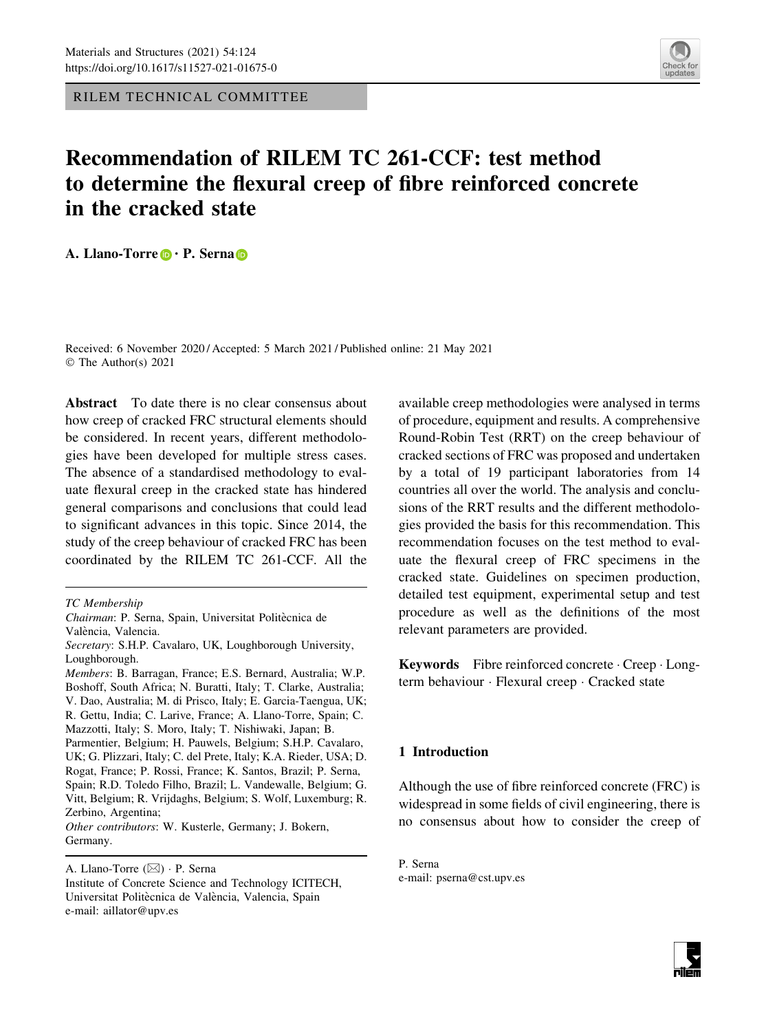RILEM TECHNICAL COMMITTEE



# Recommendation of RILEM TC 261-CCF: test method to determine the flexural creep of fibre reinforced concrete in the cracked state

A. Llano-Torre **D** · P. Serna **D** 

Received: 6 November 2020 / Accepted: 5 March 2021 / Published online: 21 May 2021 © The Author(s) 2021

Abstract To date there is no clear consensus about how creep of cracked FRC structural elements should be considered. In recent years, different methodologies have been developed for multiple stress cases. The absence of a standardised methodology to evaluate flexural creep in the cracked state has hindered general comparisons and conclusions that could lead to significant advances in this topic. Since 2014, the study of the creep behaviour of cracked FRC has been coordinated by the RILEM TC 261-CCF. All the

Rogat, France; P. Rossi, France; K. Santos, Brazil; P. Serna, Spain; R.D. Toledo Filho, Brazil; L. Vandewalle, Belgium; G. Vitt, Belgium; R. Vrijdaghs, Belgium; S. Wolf, Luxemburg; R. Zerbino, Argentina;

Other contributors: W. Kusterle, Germany; J. Bokern, Germany.

available creep methodologies were analysed in terms of procedure, equipment and results. A comprehensive Round-Robin Test (RRT) on the creep behaviour of cracked sections of FRC was proposed and undertaken by a total of 19 participant laboratories from 14 countries all over the world. The analysis and conclusions of the RRT results and the different methodologies provided the basis for this recommendation. This recommendation focuses on the test method to evaluate the flexural creep of FRC specimens in the cracked state. Guidelines on specimen production, detailed test equipment, experimental setup and test procedure as well as the definitions of the most relevant parameters are provided.

Keywords Fibre reinforced concrete - Creep - Longterm behaviour - Flexural creep - Cracked state

# 1 Introduction

Although the use of fibre reinforced concrete (FRC) is widespread in some fields of civil engineering, there is no consensus about how to consider the creep of

TC Membership

Chairman: P. Serna, Spain, Universitat Politècnica de València, Valencia.

Secretary: S.H.P. Cavalaro, UK, Loughborough University, Loughborough.

Members: B. Barragan, France; E.S. Bernard, Australia; W.P. Boshoff, South Africa; N. Buratti, Italy; T. Clarke, Australia; V. Dao, Australia; M. di Prisco, Italy; E. Garcia-Taengua, UK; R. Gettu, India; C. Larive, France; A. Llano-Torre, Spain; C. Mazzotti, Italy; S. Moro, Italy; T. Nishiwaki, Japan; B. Parmentier, Belgium; H. Pauwels, Belgium; S.H.P. Cavalaro, UK; G. Plizzari, Italy; C. del Prete, Italy; K.A. Rieder, USA; D.

A. Llano-Torre (&) - P. Serna

Institute of Concrete Science and Technology ICITECH, Universitat Politècnica de València, Valencia, Spain e-mail: aillator@upv.es

P. Serna e-mail: pserna@cst.upv.es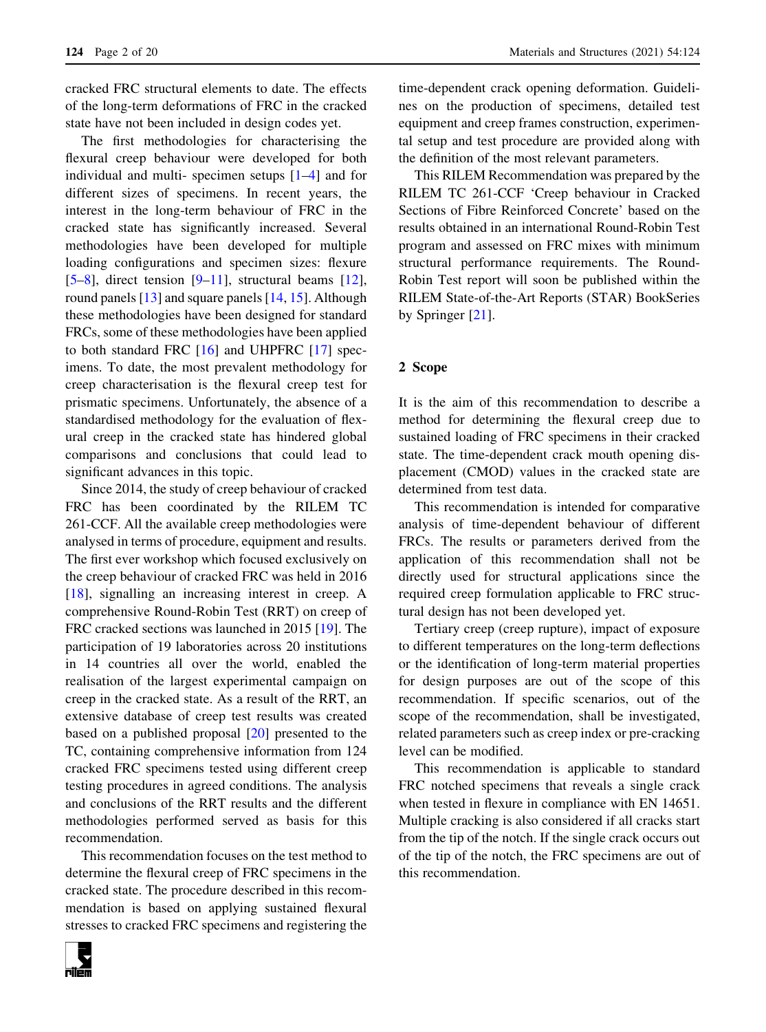cracked FRC structural elements to date. The effects of the long-term deformations of FRC in the cracked state have not been included in design codes yet.

The first methodologies for characterising the flexural creep behaviour were developed for both individual and multi- specimen setups [[1–4\]](#page-18-0) and for different sizes of specimens. In recent years, the interest in the long-term behaviour of FRC in the cracked state has significantly increased. Several methodologies have been developed for multiple loading configurations and specimen sizes: flexure  $[5-8]$ , direct tension  $[9-11]$ , structural beams  $[12]$  $[12]$ , round panels [[13\]](#page-18-0) and square panels [[14,](#page-18-0) [15\]](#page-18-0). Although these methodologies have been designed for standard FRCs, some of these methodologies have been applied to both standard FRC [\[16](#page-18-0)] and UHPFRC [\[17](#page-19-0)] specimens. To date, the most prevalent methodology for creep characterisation is the flexural creep test for prismatic specimens. Unfortunately, the absence of a standardised methodology for the evaluation of flexural creep in the cracked state has hindered global comparisons and conclusions that could lead to significant advances in this topic.

Since 2014, the study of creep behaviour of cracked FRC has been coordinated by the RILEM TC 261-CCF. All the available creep methodologies were analysed in terms of procedure, equipment and results. The first ever workshop which focused exclusively on the creep behaviour of cracked FRC was held in 2016 [\[18](#page-19-0)], signalling an increasing interest in creep. A comprehensive Round-Robin Test (RRT) on creep of FRC cracked sections was launched in 2015 [\[19](#page-19-0)]. The participation of 19 laboratories across 20 institutions in 14 countries all over the world, enabled the realisation of the largest experimental campaign on creep in the cracked state. As a result of the RRT, an extensive database of creep test results was created based on a published proposal [\[20](#page-19-0)] presented to the TC, containing comprehensive information from 124 cracked FRC specimens tested using different creep testing procedures in agreed conditions. The analysis and conclusions of the RRT results and the different methodologies performed served as basis for this recommendation.

This recommendation focuses on the test method to determine the flexural creep of FRC specimens in the cracked state. The procedure described in this recommendation is based on applying sustained flexural stresses to cracked FRC specimens and registering the



time-dependent crack opening deformation. Guidelines on the production of specimens, detailed test equipment and creep frames construction, experimental setup and test procedure are provided along with the definition of the most relevant parameters.

This RILEM Recommendation was prepared by the RILEM TC 261-CCF 'Creep behaviour in Cracked Sections of Fibre Reinforced Concrete' based on the results obtained in an international Round-Robin Test program and assessed on FRC mixes with minimum structural performance requirements. The Round-Robin Test report will soon be published within the RILEM State-of-the-Art Reports (STAR) BookSeries by Springer [\[21](#page-19-0)].

#### 2 Scope

It is the aim of this recommendation to describe a method for determining the flexural creep due to sustained loading of FRC specimens in their cracked state. The time-dependent crack mouth opening displacement (CMOD) values in the cracked state are determined from test data.

This recommendation is intended for comparative analysis of time-dependent behaviour of different FRCs. The results or parameters derived from the application of this recommendation shall not be directly used for structural applications since the required creep formulation applicable to FRC structural design has not been developed yet.

Tertiary creep (creep rupture), impact of exposure to different temperatures on the long-term deflections or the identification of long-term material properties for design purposes are out of the scope of this recommendation. If specific scenarios, out of the scope of the recommendation, shall be investigated, related parameters such as creep index or pre-cracking level can be modified.

This recommendation is applicable to standard FRC notched specimens that reveals a single crack when tested in flexure in compliance with EN 14651. Multiple cracking is also considered if all cracks start from the tip of the notch. If the single crack occurs out of the tip of the notch, the FRC specimens are out of this recommendation.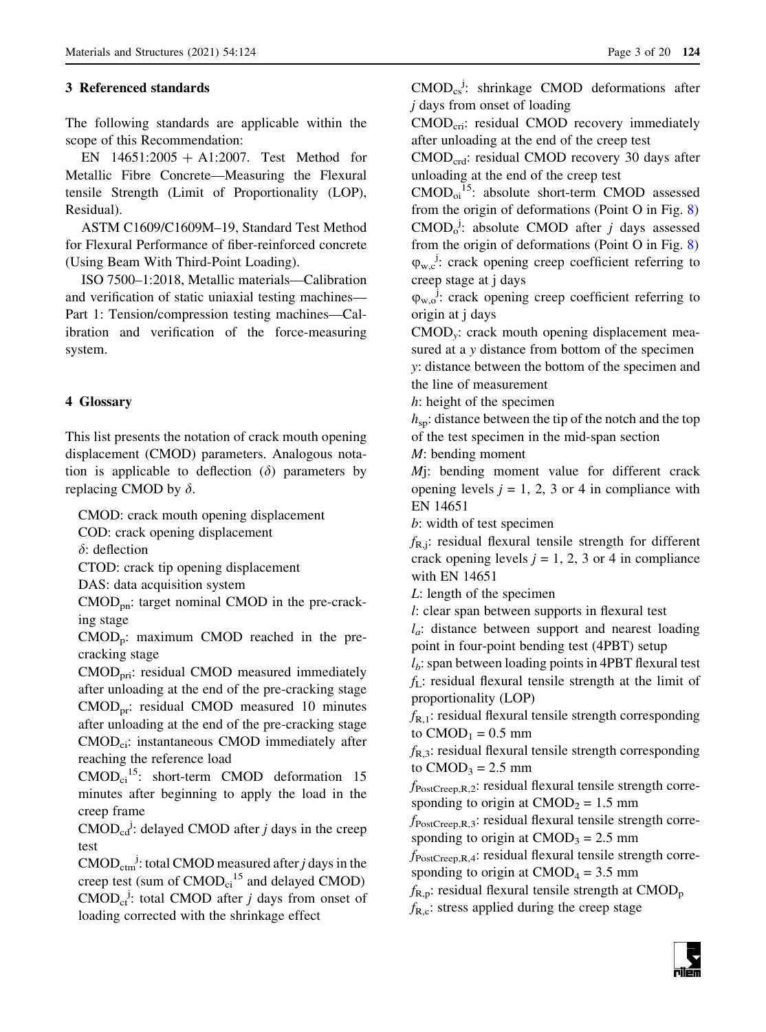# 3 Referenced standards

The following standards are applicable within the scope of this Recommendation:

EN  $14651:2005 + A1:2007$ . Test Method for Metallic Fibre Concrete—Measuring the Flexural tensile Strength (Limit of Proportionality (LOP), Residual).

ASTM C1609/C1609M–19, Standard Test Method for Flexural Performance of fiber-reinforced concrete (Using Beam With Third-Point Loading).

ISO 7500–1:2018, Metallic materials—Calibration and verification of static uniaxial testing machines— Part 1: Tension/compression testing machines—Calibration and verification of the force-measuring system.

# 4 Glossary

This list presents the notation of crack mouth opening displacement (CMOD) parameters. Analogous notation is applicable to deflection  $(\delta)$  parameters by replacing CMOD by  $\delta$ .

CMOD: crack mouth opening displacement

COD: crack opening displacement

 $\delta$ : deflection

CTOD: crack tip opening displacement

DAS: data acquisition system

 $\text{CMOD}_{\text{pn}}$ : target nominal CMOD in the pre-cracking stage

 $CMD<sub>p</sub>$ : maximum CMOD reached in the precracking stage

CMODpri: residual CMOD measured immediately after unloading at the end of the pre-cracking stage  $CMD<sub>pr</sub>: residual CMOD measured 10 minutes$ after unloading at the end of the pre-cracking stage CMOD<sub>ci</sub>: instantaneous CMOD immediately after reaching the reference load

 $CMOD<sub>ci</sub><sup>15</sup>$ : short-term CMOD deformation 15 minutes after beginning to apply the load in the creep frame

 $\text{CMOD}_{\text{cd}}$ : delayed CMOD after *j* days in the creep test

 $\text{CMOD}_{\text{ctm}}$ : total CMOD measured after *j* days in the creep test (sum of  $CMOD_{ci}^{15}$  and delayed CMOD)  $\text{CMOD}_{\text{ct}}$ : total CMOD after *j* days from onset of loading corrected with the shrinkage effect

 $\text{CMOD}_{\text{cs}}^{\text{j}}$ : shrinkage CMOD deformations after j days from onset of loading

CMOD<sub>cri</sub>: residual CMOD recovery immediately after unloading at the end of the creep test

CMODcrd: residual CMOD recovery 30 days after unloading at the end of the creep test

 $\text{CMOD}_{oi}^{15}$ : absolute short-term CMOD assessed from the origin of deformations (Point O in Fig. [8](#page-9-0))  $\text{CMOD}_0^j$ : absolute CMOD after *j* days assessed from the origin of deformations (Point O in Fig. [8](#page-9-0))  $\varphi_{w,c}$ : crack opening creep coefficient referring to creep stage at j days

 $\varphi_{w,o}$ <sup>j</sup>: crack opening creep coefficient referring to origin at j days

CMODy: crack mouth opening displacement measured at a y distance from bottom of the specimen y: distance between the bottom of the specimen and the line of measurement

h: height of the specimen

 $h_{\rm sp}$ : distance between the tip of the notch and the top of the test specimen in the mid-span section

M: bending moment

 $M$ j: bending moment value for different crack opening levels  $j = 1, 2, 3$  or 4 in compliance with EN 14651

b: width of test specimen

 $f_{\rm R,i}$ : residual flexural tensile strength for different crack opening levels  $j = 1, 2, 3$  or 4 in compliance with EN 14651

L: length of the specimen

l: clear span between supports in flexural test

 $l_a$ : distance between support and nearest loading point in four-point bending test (4PBT) setup

 $l_b$ : span between loading points in 4PBT flexural test  $f_L$ : residual flexural tensile strength at the limit of proportionality (LOP)

 $f_{R-1}$ : residual flexural tensile strength corresponding to  $CMOD<sub>1</sub> = 0.5$  mm

 $f_{R,3}$ : residual flexural tensile strength corresponding to  $CMOD<sub>3</sub> = 2.5$  mm

 $f_{PostCreep,R,2}$ : residual flexural tensile strength corresponding to origin at  $CMOD<sub>2</sub> = 1.5$  mm

 $f_{PostCreep,R,3}$ : residual flexural tensile strength corresponding to origin at  $CMOD<sub>3</sub> = 2.5$  mm

 $f_{PostCreep,R,4}$ : residual flexural tensile strength corresponding to origin at  $CMOD<sub>4</sub> = 3.5$  mm

 $f_{R,p}$ : residual flexural tensile strength at CMOD<sub>p</sub>

 $f_{\text{R,c}}$ : stress applied during the creep stage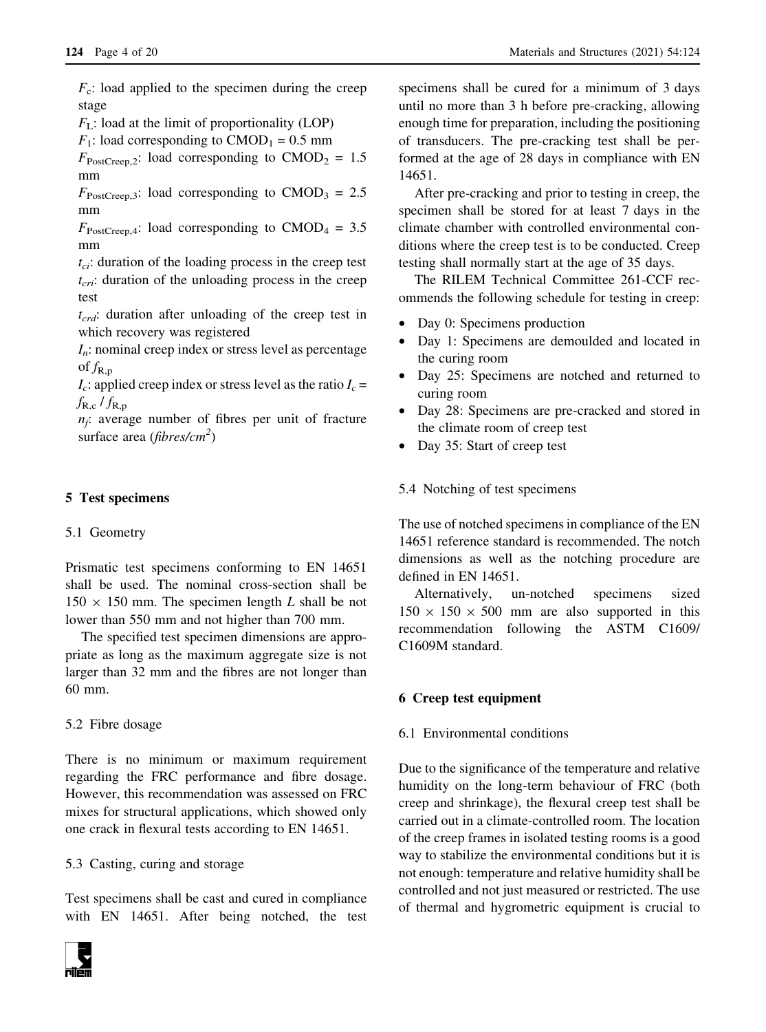$F_c$ : load applied to the specimen during the creep stage

 $F<sub>I</sub>$ : load at the limit of proportionality (LOP)

 $F_1$ : load corresponding to CMOD<sub>1</sub> = 0.5 mm

 $F_{\text{PostCreep},2}$ : load corresponding to CMOD<sub>2</sub> = 1.5 mm

 $F_{\text{PostCreen,3}}$ : load corresponding to CMOD<sub>3</sub> = 2.5 mm

 $F_{\text{PostCreen},4}$ : load corresponding to CMOD<sub>4</sub> = 3.5 mm

 $t_{ci}$ : duration of the loading process in the creep test  $t_{\text{cri}}$ : duration of the unloading process in the creep test

 $t_{crd}$ : duration after unloading of the creep test in which recovery was registered

 $I_n$ : nominal creep index or stress level as percentage of  $f_{R,p}$ 

 $I_c$ : applied creep index or stress level as the ratio  $I_c$  =  $f_{R,c}$  /  $f_{R,p}$ 

 $n_f$ : average number of fibres per unit of fracture surface area ( $fibres/cm<sup>2</sup>$ )

# 5 Test specimens

# 5.1 Geometry

Prismatic test specimens conforming to EN 14651 shall be used. The nominal cross-section shall be  $150 \times 150$  mm. The specimen length L shall be not lower than 550 mm and not higher than 700 mm.

The specified test specimen dimensions are appropriate as long as the maximum aggregate size is not larger than 32 mm and the fibres are not longer than 60 mm.

5.2 Fibre dosage

There is no minimum or maximum requirement regarding the FRC performance and fibre dosage. However, this recommendation was assessed on FRC mixes for structural applications, which showed only one crack in flexural tests according to EN 14651.

### 5.3 Casting, curing and storage

Test specimens shall be cast and cured in compliance with EN 14651. After being notched, the test



specimens shall be cured for a minimum of 3 days until no more than 3 h before pre-cracking, allowing enough time for preparation, including the positioning of transducers. The pre-cracking test shall be performed at the age of 28 days in compliance with EN 14651.

After pre-cracking and prior to testing in creep, the specimen shall be stored for at least 7 days in the climate chamber with controlled environmental conditions where the creep test is to be conducted. Creep testing shall normally start at the age of 35 days.

The RILEM Technical Committee 261-CCF recommends the following schedule for testing in creep:

- Day 0: Specimens production
- Day 1: Specimens are demoulded and located in the curing room
- Day 25: Specimens are notched and returned to curing room
- Day 28: Specimens are pre-cracked and stored in the climate room of creep test
- Day 35: Start of creep test

## 5.4 Notching of test specimens

The use of notched specimens in compliance of the EN 14651 reference standard is recommended. The notch dimensions as well as the notching procedure are defined in EN 14651.

Alternatively, un-notched specimens sized  $150 \times 150 \times 500$  mm are also supported in this recommendation following the ASTM C1609/ C1609M standard.

# 6 Creep test equipment

## 6.1 Environmental conditions

Due to the significance of the temperature and relative humidity on the long-term behaviour of FRC (both creep and shrinkage), the flexural creep test shall be carried out in a climate-controlled room. The location of the creep frames in isolated testing rooms is a good way to stabilize the environmental conditions but it is not enough: temperature and relative humidity shall be controlled and not just measured or restricted. The use of thermal and hygrometric equipment is crucial to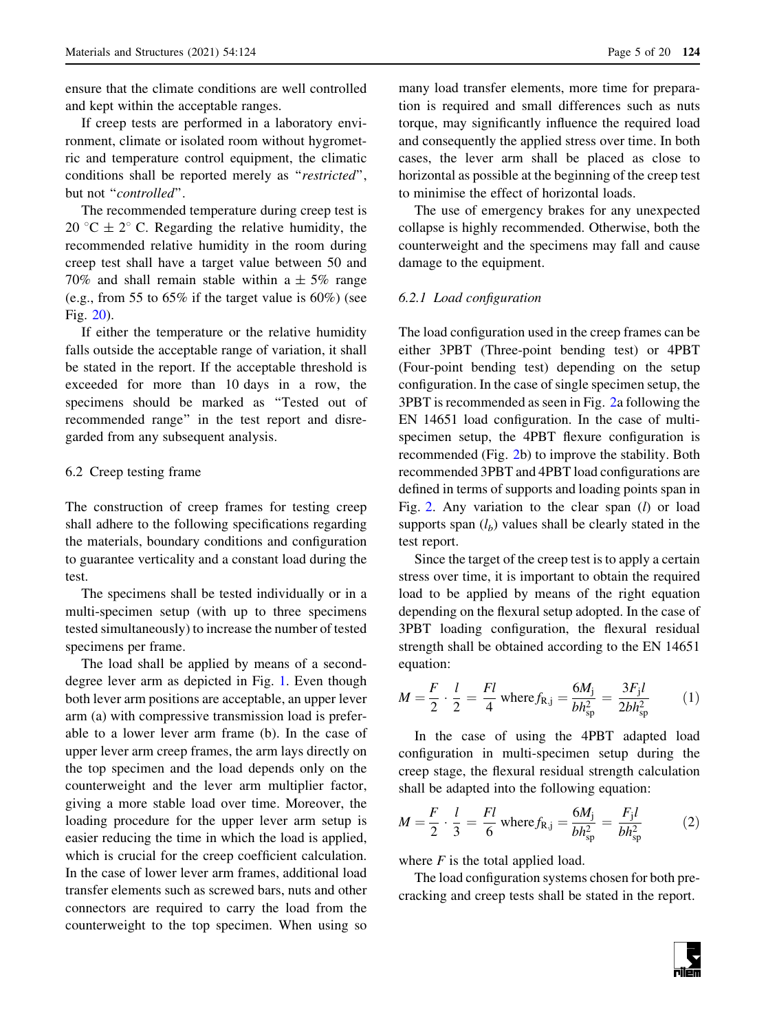ensure that the climate conditions are well controlled and kept within the acceptable ranges.

If creep tests are performed in a laboratory environment, climate or isolated room without hygrometric and temperature control equipment, the climatic conditions shall be reported merely as "restricted", but not "controlled".

The recommended temperature during creep test is 20 °C  $\pm$  2° C. Regarding the relative humidity, the recommended relative humidity in the room during creep test shall have a target value between 50 and 70% and shall remain stable within a  $\pm$  5% range (e.g., from 55 to  $65\%$  if the target value is  $60\%$ ) (see Fig. [20\)](#page-16-0).

If either the temperature or the relative humidity falls outside the acceptable range of variation, it shall be stated in the report. If the acceptable threshold is exceeded for more than 10 days in a row, the specimens should be marked as ''Tested out of recommended range'' in the test report and disregarded from any subsequent analysis.

# 6.2 Creep testing frame

The construction of creep frames for testing creep shall adhere to the following specifications regarding the materials, boundary conditions and configuration to guarantee verticality and a constant load during the test.

The specimens shall be tested individually or in a multi-specimen setup (with up to three specimens tested simultaneously) to increase the number of tested specimens per frame.

The load shall be applied by means of a seconddegree lever arm as depicted in Fig. [1](#page-5-0). Even though both lever arm positions are acceptable, an upper lever arm (a) with compressive transmission load is preferable to a lower lever arm frame (b). In the case of upper lever arm creep frames, the arm lays directly on the top specimen and the load depends only on the counterweight and the lever arm multiplier factor, giving a more stable load over time. Moreover, the loading procedure for the upper lever arm setup is easier reducing the time in which the load is applied, which is crucial for the creep coefficient calculation. In the case of lower lever arm frames, additional load transfer elements such as screwed bars, nuts and other connectors are required to carry the load from the counterweight to the top specimen. When using so

many load transfer elements, more time for preparation is required and small differences such as nuts torque, may significantly influence the required load and consequently the applied stress over time. In both cases, the lever arm shall be placed as close to horizontal as possible at the beginning of the creep test to minimise the effect of horizontal loads.

The use of emergency brakes for any unexpected collapse is highly recommended. Otherwise, both the counterweight and the specimens may fall and cause damage to the equipment.

## 6.2.1 Load configuration

The load configuration used in the creep frames can be either 3PBT (Three-point bending test) or 4PBT (Four-point bending test) depending on the setup configuration. In the case of single specimen setup, the 3PBT is recommended as seen in Fig. [2a](#page-5-0) following the EN 14651 load configuration. In the case of multispecimen setup, the 4PBT flexure configuration is recommended (Fig. [2b](#page-5-0)) to improve the stability. Both recommended 3PBT and 4PBT load configurations are defined in terms of supports and loading points span in Fig. [2.](#page-5-0) Any variation to the clear span  $(l)$  or load supports span  $(l_b)$  values shall be clearly stated in the test report.

Since the target of the creep test is to apply a certain stress over time, it is important to obtain the required load to be applied by means of the right equation depending on the flexural setup adopted. In the case of 3PBT loading configuration, the flexural residual strength shall be obtained according to the EN 14651 equation:

$$
M = \frac{F}{2} \cdot \frac{l}{2} = \frac{Fl}{4} \text{ where } f_{R,j} = \frac{6M_j}{bh_{sp}^2} = \frac{3F_j l}{2bh_{sp}^2}
$$
 (1)

In the case of using the 4PBT adapted load configuration in multi-specimen setup during the creep stage, the flexural residual strength calculation shall be adapted into the following equation:

$$
M = \frac{F}{2} \cdot \frac{l}{3} = \frac{Fl}{6} \text{ where } f_{R,j} = \frac{6M_j}{bh_{sp}^2} = \frac{F_j l}{bh_{sp}^2}
$$
 (2)

where  $F$  is the total applied load.

The load configuration systems chosen for both precracking and creep tests shall be stated in the report.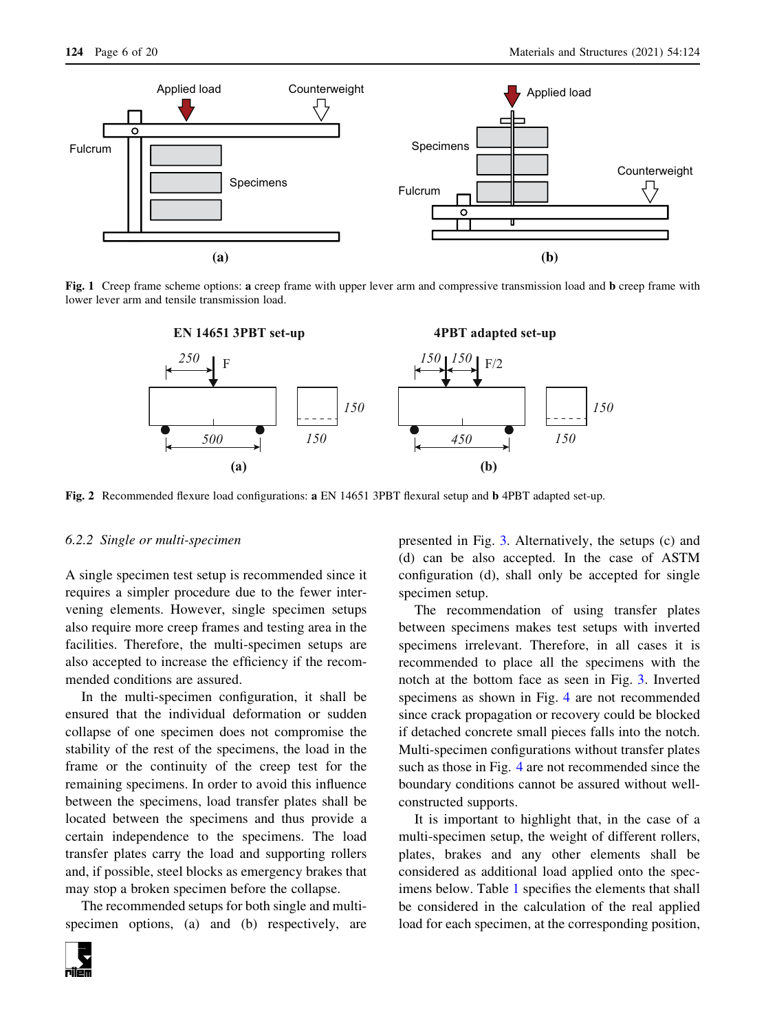<span id="page-5-0"></span>

Fig. 1 Creep frame scheme options: a creep frame with upper lever arm and compressive transmission load and b creep frame with lower lever arm and tensile transmission load.



Fig. 2 Recommended flexure load configurations: a EN 14651 3PBT flexural setup and b 4PBT adapted set-up.

#### 6.2.2 Single or multi-specimen

A single specimen test setup is recommended since it requires a simpler procedure due to the fewer intervening elements. However, single specimen setups also require more creep frames and testing area in the facilities. Therefore, the multi-specimen setups are also accepted to increase the efficiency if the recommended conditions are assured.

In the multi-specimen configuration, it shall be ensured that the individual deformation or sudden collapse of one specimen does not compromise the stability of the rest of the specimens, the load in the frame or the continuity of the creep test for the remaining specimens. In order to avoid this influence between the specimens, load transfer plates shall be located between the specimens and thus provide a certain independence to the specimens. The load transfer plates carry the load and supporting rollers and, if possible, steel blocks as emergency brakes that may stop a broken specimen before the collapse.

The recommended setups for both single and multispecimen options, (a) and (b) respectively, are



presented in Fig. [3](#page-6-0). Alternatively, the setups (c) and (d) can be also accepted. In the case of ASTM configuration (d), shall only be accepted for single specimen setup.

The recommendation of using transfer plates between specimens makes test setups with inverted specimens irrelevant. Therefore, in all cases it is recommended to place all the specimens with the notch at the bottom face as seen in Fig. [3.](#page-6-0) Inverted specimens as shown in Fig. [4](#page-6-0) are not recommended since crack propagation or recovery could be blocked if detached concrete small pieces falls into the notch. Multi-specimen configurations without transfer plates such as those in Fig. [4](#page-6-0) are not recommended since the boundary conditions cannot be assured without wellconstructed supports.

It is important to highlight that, in the case of a multi-specimen setup, the weight of different rollers, plates, brakes and any other elements shall be considered as additional load applied onto the specimens below. Table [1](#page-7-0) specifies the elements that shall be considered in the calculation of the real applied load for each specimen, at the corresponding position,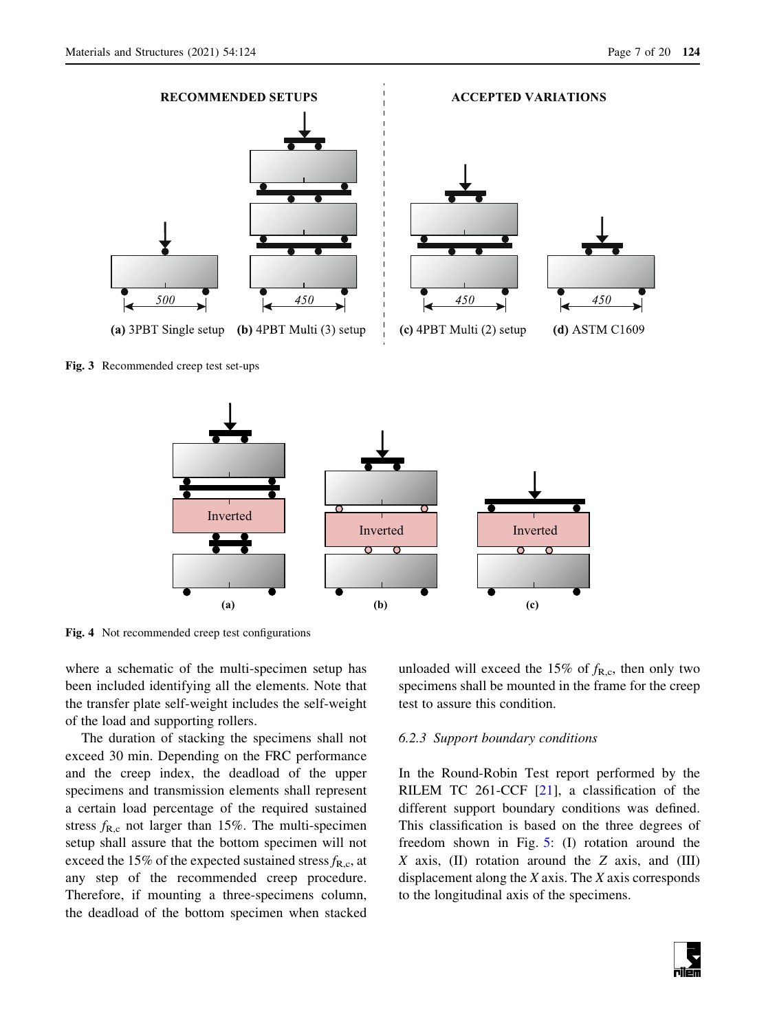<span id="page-6-0"></span>

Fig. 3 Recommended creep test set-ups



Fig. 4 Not recommended creep test configurations

where a schematic of the multi-specimen setup has been included identifying all the elements. Note that the transfer plate self-weight includes the self-weight of the load and supporting rollers.

The duration of stacking the specimens shall not exceed 30 min. Depending on the FRC performance and the creep index, the deadload of the upper specimens and transmission elements shall represent a certain load percentage of the required sustained stress  $f_{R,c}$  not larger than 15%. The multi-specimen setup shall assure that the bottom specimen will not exceed the 15% of the expected sustained stress  $f_{R,c}$ , at any step of the recommended creep procedure. Therefore, if mounting a three-specimens column, the deadload of the bottom specimen when stacked unloaded will exceed the 15% of  $f_{R,c}$ , then only two specimens shall be mounted in the frame for the creep test to assure this condition.

### 6.2.3 Support boundary conditions

In the Round-Robin Test report performed by the RILEM TC 261-CCF [\[21](#page-19-0)], a classification of the different support boundary conditions was defined. This classification is based on the three degrees of freedom shown in Fig. [5](#page-7-0): (I) rotation around the  $X$  axis, (II) rotation around the  $Z$  axis, and (III) displacement along the  $X$  axis. The  $X$  axis corresponds to the longitudinal axis of the specimens.

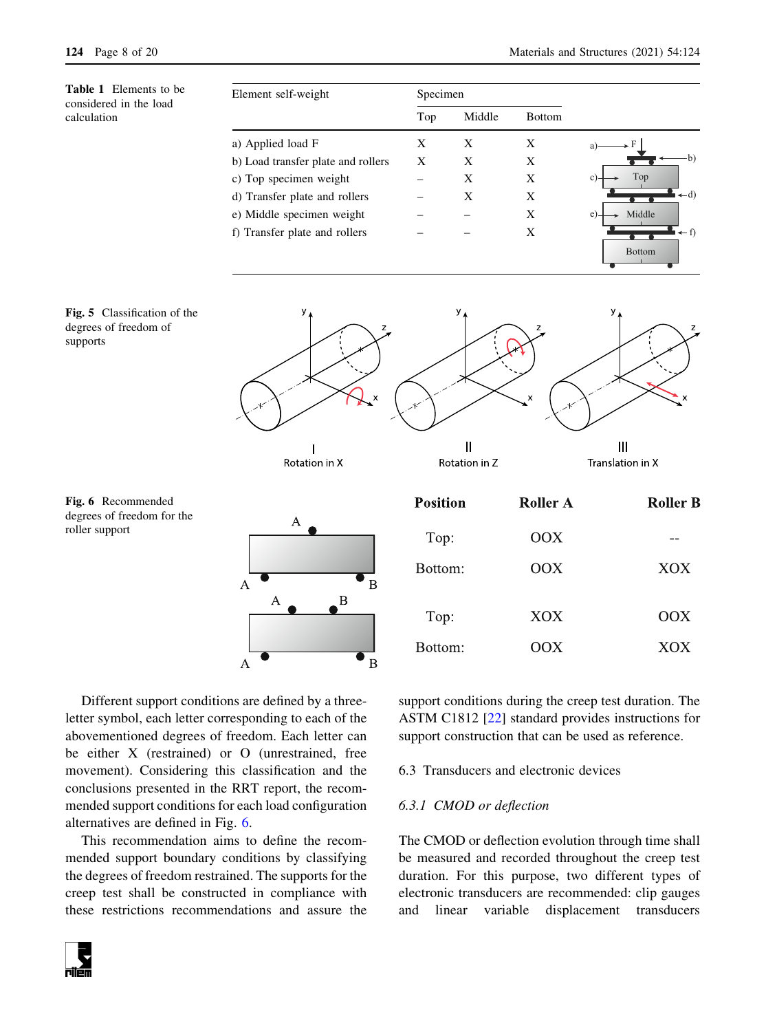<span id="page-7-0"></span>Table 1 Elements to be considered in the load calculation

| Element self-weight                | Specimen |        |               |             |
|------------------------------------|----------|--------|---------------|-------------|
|                                    | Top      | Middle | <b>Bottom</b> |             |
| a) Applied load F                  | Χ        | X      | X             |             |
| b) Load transfer plate and rollers | X        | X      | X             | b)          |
| c) Top specimen weight             |          | X      | X             | Top         |
| d) Transfer plate and rollers      |          | X      | Χ             | $-d$        |
| e) Middle specimen weight          |          |        | X             | Middle<br>e |
| f) Transfer plate and rollers      |          |        | X             | ← f)        |
|                                    |          |        |               |             |





Bottom:

 $\overline{B}$ 

Fig. 6 Recommended degrees of freedom for the roller support

Different support conditions are defined by a threeletter symbol, each letter corresponding to each of the abovementioned degrees of freedom. Each letter can be either X (restrained) or O (unrestrained, free movement). Considering this classification and the conclusions presented in the RRT report, the recommended support conditions for each load configuration alternatives are defined in Fig. 6.

 $\overline{A}$ 

This recommendation aims to define the recommended support boundary conditions by classifying the degrees of freedom restrained. The supports for the creep test shall be constructed in compliance with these restrictions recommendations and assure the support conditions during the creep test duration. The ASTM C1812 [\[22](#page-19-0)] standard provides instructions for support construction that can be used as reference.

 $OOX$ 

6.3 Transducers and electronic devices

# 6.3.1 CMOD or deflection

The CMOD or deflection evolution through time shall be measured and recorded throughout the creep test duration. For this purpose, two different types of electronic transducers are recommended: clip gauges and linear variable displacement transducers



Bottom

XOX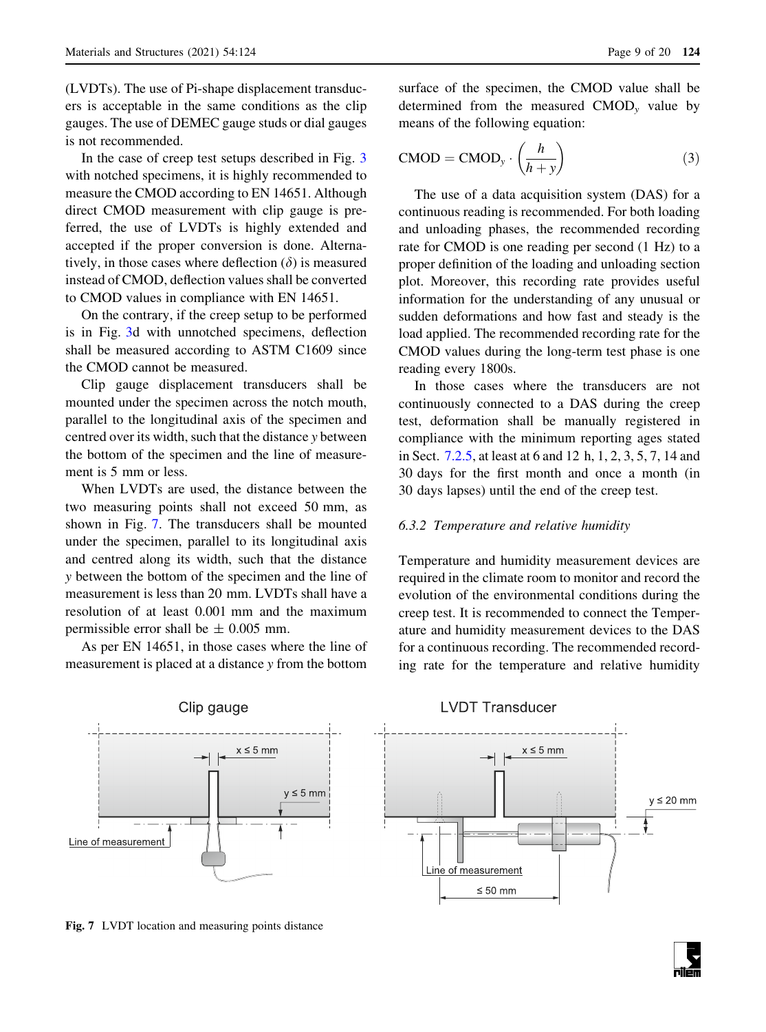<span id="page-8-0"></span>(LVDTs). The use of Pi-shape displacement transducers is acceptable in the same conditions as the clip gauges. The use of DEMEC gauge studs or dial gauges is not recommended.

In the case of creep test setups described in Fig. [3](#page-6-0) with notched specimens, it is highly recommended to measure the CMOD according to EN 14651. Although direct CMOD measurement with clip gauge is preferred, the use of LVDTs is highly extended and accepted if the proper conversion is done. Alternatively, in those cases where deflection  $(\delta)$  is measured instead of CMOD, deflection values shall be converted to CMOD values in compliance with EN 14651.

On the contrary, if the creep setup to be performed is in Fig. [3d](#page-6-0) with unnotched specimens, deflection shall be measured according to ASTM C1609 since the CMOD cannot be measured.

Clip gauge displacement transducers shall be mounted under the specimen across the notch mouth, parallel to the longitudinal axis of the specimen and centred over its width, such that the distance y between the bottom of the specimen and the line of measurement is 5 mm or less.

When LVDTs are used, the distance between the two measuring points shall not exceed 50 mm, as shown in Fig. 7. The transducers shall be mounted under the specimen, parallel to its longitudinal axis and centred along its width, such that the distance y between the bottom of the specimen and the line of measurement is less than 20 mm. LVDTs shall have a resolution of at least 0.001 mm and the maximum permissible error shall be  $\pm$  0.005 mm.

As per EN 14651, in those cases where the line of measurement is placed at a distance y from the bottom

surface of the specimen, the CMOD value shall be determined from the measured  $CMOD<sub>v</sub>$  value by means of the following equation:

$$
CMOD = CMOD_y \cdot \left(\frac{h}{h+y}\right) \tag{3}
$$

The use of a data acquisition system (DAS) for a continuous reading is recommended. For both loading and unloading phases, the recommended recording rate for CMOD is one reading per second (1 Hz) to a proper definition of the loading and unloading section plot. Moreover, this recording rate provides useful information for the understanding of any unusual or sudden deformations and how fast and steady is the load applied. The recommended recording rate for the CMOD values during the long-term test phase is one reading every 1800s.

In those cases where the transducers are not continuously connected to a DAS during the creep test, deformation shall be manually registered in compliance with the minimum reporting ages stated in Sect. [7.2.5,](#page-12-0) at least at 6 and 12 h, 1, 2, 3, 5, 7, 14 and 30 days for the first month and once a month (in 30 days lapses) until the end of the creep test.

#### 6.3.2 Temperature and relative humidity

Temperature and humidity measurement devices are required in the climate room to monitor and record the evolution of the environmental conditions during the creep test. It is recommended to connect the Temperature and humidity measurement devices to the DAS for a continuous recording. The recommended recording rate for the temperature and relative humidity



Fig. 7 LVDT location and measuring points distance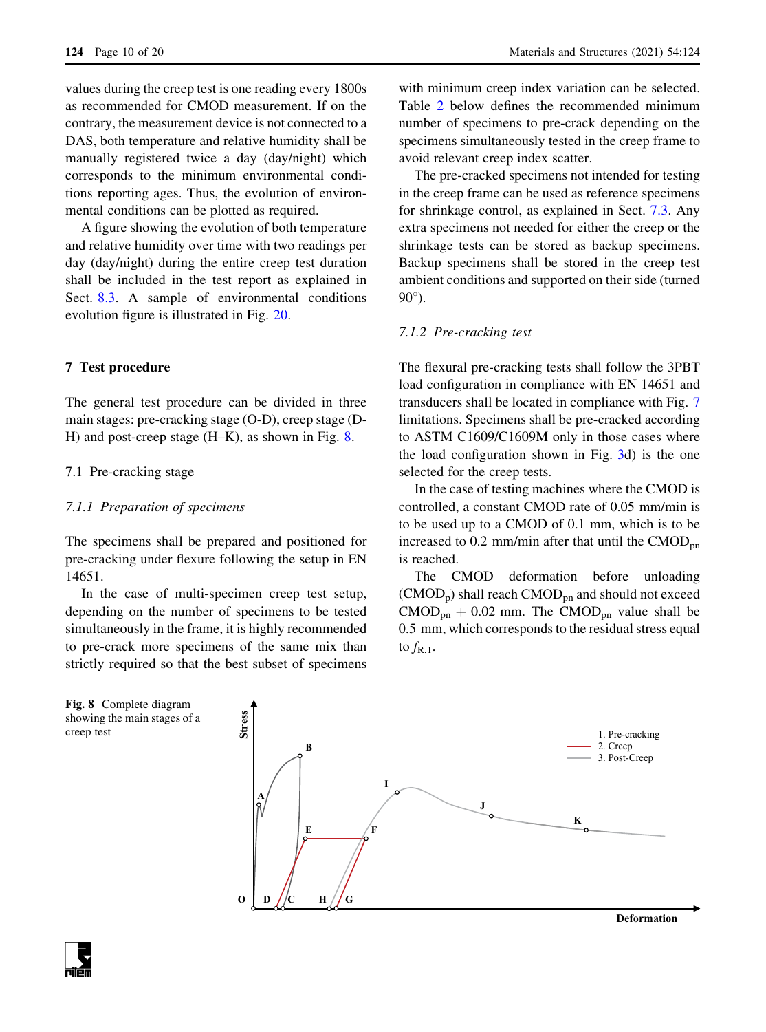<span id="page-9-0"></span>values during the creep test is one reading every 1800s as recommended for CMOD measurement. If on the contrary, the measurement device is not connected to a DAS, both temperature and relative humidity shall be manually registered twice a day (day/night) which corresponds to the minimum environmental conditions reporting ages. Thus, the evolution of environmental conditions can be plotted as required.

A figure showing the evolution of both temperature and relative humidity over time with two readings per day (day/night) during the entire creep test duration shall be included in the test report as explained in Sect. [8.3](#page-15-0). A sample of environmental conditions evolution figure is illustrated in Fig. [20.](#page-16-0)

### 7 Test procedure

The general test procedure can be divided in three main stages: pre-cracking stage (O-D), creep stage (D-H) and post-creep stage (H–K), as shown in Fig. 8.

#### 7.1 Pre-cracking stage

#### 7.1.1 Preparation of specimens

The specimens shall be prepared and positioned for pre-cracking under flexure following the setup in EN 14651.

In the case of multi-specimen creep test setup, depending on the number of specimens to be tested simultaneously in the frame, it is highly recommended to pre-crack more specimens of the same mix than strictly required so that the best subset of specimens

with minimum creep index variation can be selected. Table [2](#page-10-0) below defines the recommended minimum number of specimens to pre-crack depending on the specimens simultaneously tested in the creep frame to avoid relevant creep index scatter.

The pre-cracked specimens not intended for testing in the creep frame can be used as reference specimens for shrinkage control, as explained in Sect. [7.3](#page-12-0). Any extra specimens not needed for either the creep or the shrinkage tests can be stored as backup specimens. Backup specimens shall be stored in the creep test ambient conditions and supported on their side (turned  $90^\circ$ ).

## 7.1.2 Pre-cracking test

The flexural pre-cracking tests shall follow the 3PBT load configuration in compliance with EN 14651 and transducers shall be located in compliance with Fig. [7](#page-8-0) limitations. Specimens shall be pre-cracked according to ASTM C1609/C1609M only in those cases where the load configuration shown in Fig. [3](#page-6-0)d) is the one selected for the creep tests.

In the case of testing machines where the CMOD is controlled, a constant CMOD rate of 0.05 mm/min is to be used up to a CMOD of 0.1 mm, which is to be increased to  $0.2 \text{ mm/min}$  after that until the CMOD<sub>pn</sub> is reached.

The CMOD deformation before unloading  $(CMOD_p)$  shall reach  $CMOD_{pn}$  and should not exceed  $\text{CMOD}_{\text{pn}} + 0.02 \text{ mm}$ . The CMOD<sub>pn</sub> value shall be 0.5 mm, which corresponds to the residual stress equal to  $f_{R,1}$ .



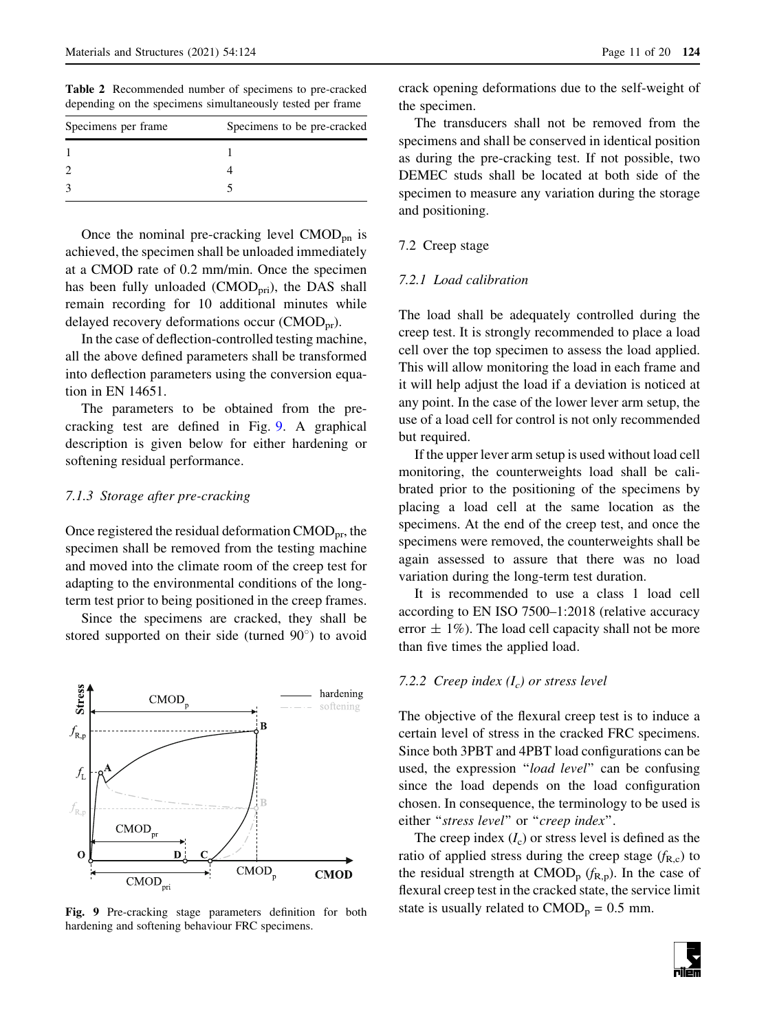<span id="page-10-0"></span>Table 2 Recommended number of specimens to pre-cracked depending on the specimens simultaneously tested per frame

| Specimens to be pre-cracked |  |  |
|-----------------------------|--|--|
|                             |  |  |
|                             |  |  |
|                             |  |  |
|                             |  |  |

Once the nominal pre-cracking level  $\text{CMOD}_{\text{pn}}$  is achieved, the specimen shall be unloaded immediately at a CMOD rate of 0.2 mm/min. Once the specimen has been fully unloaded (CMOD<sub>pri</sub>), the DAS shall remain recording for 10 additional minutes while delayed recovery deformations occur ( $\text{CMOD}_{\text{pr}}$ ).

In the case of deflection-controlled testing machine, all the above defined parameters shall be transformed into deflection parameters using the conversion equation in EN 14651.

The parameters to be obtained from the precracking test are defined in Fig. 9. A graphical description is given below for either hardening or softening residual performance.

#### 7.1.3 Storage after pre-cracking

Once registered the residual deformation  $\text{CMOD}_{\text{pr}}$ , the specimen shall be removed from the testing machine and moved into the climate room of the creep test for adapting to the environmental conditions of the longterm test prior to being positioned in the creep frames.

Since the specimens are cracked, they shall be stored supported on their side (turned  $90^{\circ}$ ) to avoid



Fig. 9 Pre-cracking stage parameters definition for both hardening and softening behaviour FRC specimens.

crack opening deformations due to the self-weight of the specimen.

The transducers shall not be removed from the specimens and shall be conserved in identical position as during the pre-cracking test. If not possible, two DEMEC studs shall be located at both side of the specimen to measure any variation during the storage and positioning.

#### 7.2 Creep stage

## 7.2.1 Load calibration

The load shall be adequately controlled during the creep test. It is strongly recommended to place a load cell over the top specimen to assess the load applied. This will allow monitoring the load in each frame and it will help adjust the load if a deviation is noticed at any point. In the case of the lower lever arm setup, the use of a load cell for control is not only recommended but required.

If the upper lever arm setup is used without load cell monitoring, the counterweights load shall be calibrated prior to the positioning of the specimens by placing a load cell at the same location as the specimens. At the end of the creep test, and once the specimens were removed, the counterweights shall be again assessed to assure that there was no load variation during the long-term test duration.

It is recommended to use a class 1 load cell according to EN ISO 7500–1:2018 (relative accuracy error  $\pm$  1%). The load cell capacity shall not be more than five times the applied load.

## 7.2.2 Creep index  $(I_c)$  or stress level

The objective of the flexural creep test is to induce a certain level of stress in the cracked FRC specimens. Since both 3PBT and 4PBT load configurations can be used, the expression ''load level'' can be confusing since the load depends on the load configuration chosen. In consequence, the terminology to be used is either "stress level" or "creep index".

The creep index  $(I_c)$  or stress level is defined as the ratio of applied stress during the creep stage  $(f_{R,c})$  to the residual strength at  $\text{CMOD}_{p}$  ( $f_{R,p}$ ). In the case of flexural creep test in the cracked state, the service limit state is usually related to  $CMOD<sub>p</sub> = 0.5$  mm.

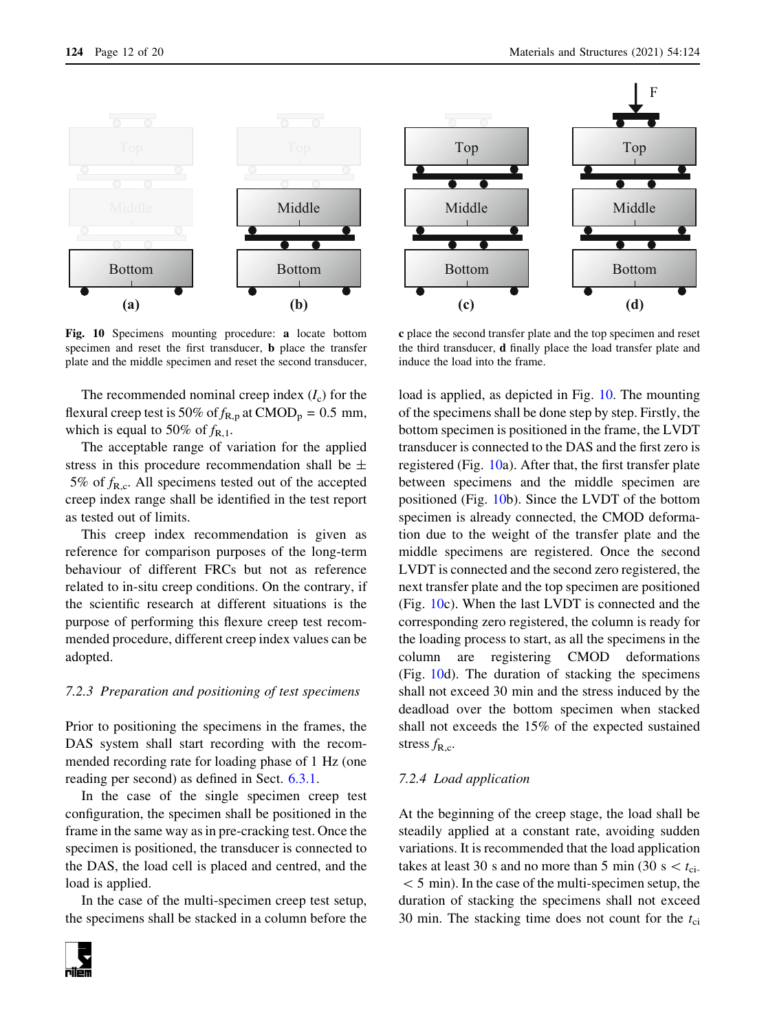<span id="page-11-0"></span>

Fig. 10 Specimens mounting procedure: a locate bottom specimen and reset the first transducer, b place the transfer plate and the middle specimen and reset the second transducer,

The recommended nominal creep index  $(I_c)$  for the flexural creep test is 50% of  $f_{R,p}$  at CMOD<sub>p</sub> = 0.5 mm, which is equal to 50% of  $f_{R,1}$ .

The acceptable range of variation for the applied stress in this procedure recommendation shall be  $\pm$ 5% of  $f_{\text{R.c.}}$  All specimens tested out of the accepted creep index range shall be identified in the test report as tested out of limits.

This creep index recommendation is given as reference for comparison purposes of the long-term behaviour of different FRCs but not as reference related to in-situ creep conditions. On the contrary, if the scientific research at different situations is the purpose of performing this flexure creep test recommended procedure, different creep index values can be adopted.

#### 7.2.3 Preparation and positioning of test specimens

Prior to positioning the specimens in the frames, the DAS system shall start recording with the recommended recording rate for loading phase of 1 Hz (one reading per second) as defined in Sect. [6.3.1.](#page-7-0)

In the case of the single specimen creep test configuration, the specimen shall be positioned in the frame in the same way as in pre-cracking test. Once the specimen is positioned, the transducer is connected to the DAS, the load cell is placed and centred, and the load is applied.

In the case of the multi-specimen creep test setup, the specimens shall be stacked in a column before the





c place the second transfer plate and the top specimen and reset the third transducer, d finally place the load transfer plate and induce the load into the frame.

load is applied, as depicted in Fig. 10. The mounting of the specimens shall be done step by step. Firstly, the bottom specimen is positioned in the frame, the LVDT transducer is connected to the DAS and the first zero is registered (Fig. 10a). After that, the first transfer plate between specimens and the middle specimen are positioned (Fig. 10b). Since the LVDT of the bottom specimen is already connected, the CMOD deformation due to the weight of the transfer plate and the middle specimens are registered. Once the second LVDT is connected and the second zero registered, the next transfer plate and the top specimen are positioned (Fig. 10c). When the last LVDT is connected and the corresponding zero registered, the column is ready for the loading process to start, as all the specimens in the column are registering CMOD deformations (Fig. 10d). The duration of stacking the specimens shall not exceed 30 min and the stress induced by the deadload over the bottom specimen when stacked shall not exceeds the 15% of the expected sustained stress  $f_{\rm R.c.}$ 

## 7.2.4 Load application

At the beginning of the creep stage, the load shall be steadily applied at a constant rate, avoiding sudden variations. It is recommended that the load application takes at least 30 s and no more than 5 min (30 s  $lt t_{ci}$ .  $< 5$  min). In the case of the multi-specimen setup, the duration of stacking the specimens shall not exceed 30 min. The stacking time does not count for the  $t_{ci}$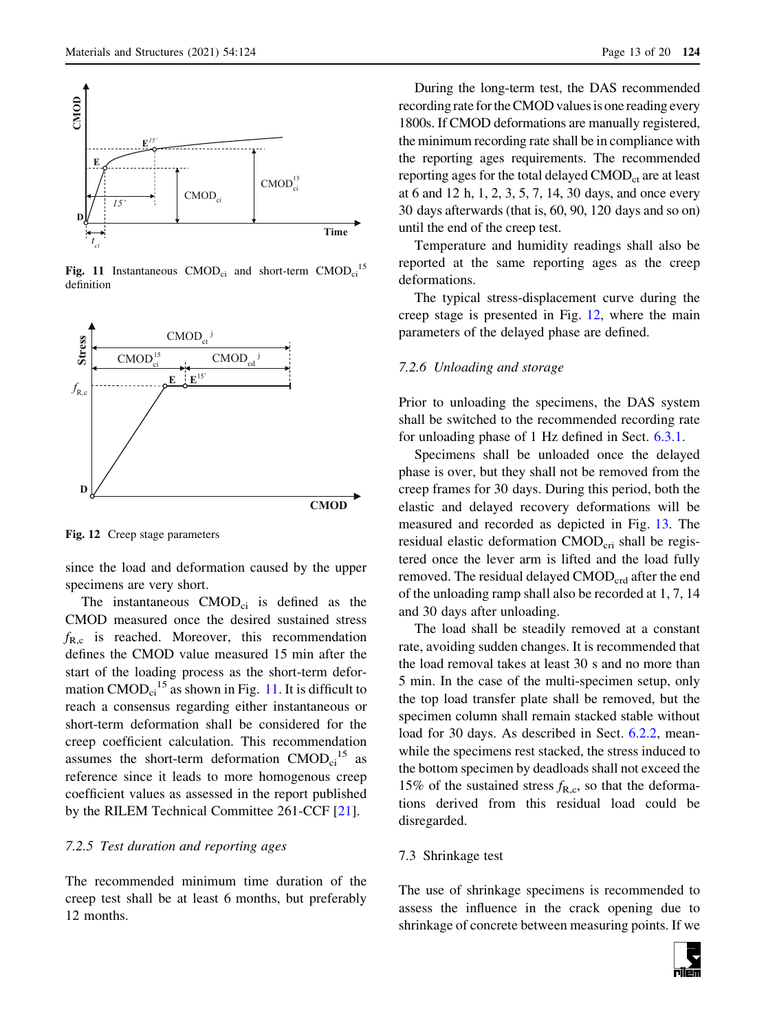<span id="page-12-0"></span>

Fig. 11 Instantaneous  $CMOD_{ci}$  and short-term  $CMOD_{ci}$ <sup>15</sup> definition



Fig. 12 Creep stage parameters

since the load and deformation caused by the upper specimens are very short.

The instantaneous  $CMOD<sub>ci</sub>$  is defined as the CMOD measured once the desired sustained stress  $f_{R,c}$  is reached. Moreover, this recommendation defines the CMOD value measured 15 min after the start of the loading process as the short-term deformation  $\text{CMOD}_{ci}^{15}$  as shown in Fig. 11. It is difficult to reach a consensus regarding either instantaneous or short-term deformation shall be considered for the creep coefficient calculation. This recommendation assumes the short-term deformation  $CMOD<sub>ci</sub><sup>15</sup>$  as reference since it leads to more homogenous creep coefficient values as assessed in the report published by the RILEM Technical Committee 261-CCF [[21](#page-19-0)].

## 7.2.5 Test duration and reporting ages

The recommended minimum time duration of the creep test shall be at least 6 months, but preferably 12 months.

During the long-term test, the DAS recommended recording rate for the CMOD values is one reading every 1800s. If CMOD deformations are manually registered, the minimum recording rate shall be in compliance with the reporting ages requirements. The recommended reporting ages for the total delayed  $\text{CMOD}_{ct}$  are at least at 6 and 12 h, 1, 2, 3, 5, 7, 14, 30 days, and once every 30 days afterwards (that is, 60, 90, 120 days and so on) until the end of the creep test.

Temperature and humidity readings shall also be reported at the same reporting ages as the creep deformations.

The typical stress-displacement curve during the creep stage is presented in Fig. 12, where the main parameters of the delayed phase are defined.

#### 7.2.6 Unloading and storage

Prior to unloading the specimens, the DAS system shall be switched to the recommended recording rate for unloading phase of 1 Hz defined in Sect. [6.3.1](#page-7-0).

Specimens shall be unloaded once the delayed phase is over, but they shall not be removed from the creep frames for 30 days. During this period, both the elastic and delayed recovery deformations will be measured and recorded as depicted in Fig. [13.](#page-13-0) The residual elastic deformation CMOD<sub>cri</sub> shall be registered once the lever arm is lifted and the load fully removed. The residual delayed  $\text{CMOD}_{\text{crd}}$  after the end of the unloading ramp shall also be recorded at 1, 7, 14 and 30 days after unloading.

The load shall be steadily removed at a constant rate, avoiding sudden changes. It is recommended that the load removal takes at least 30 s and no more than 5 min. In the case of the multi-specimen setup, only the top load transfer plate shall be removed, but the specimen column shall remain stacked stable without load for 30 days. As described in Sect. [6.2.2](#page-5-0), meanwhile the specimens rest stacked, the stress induced to the bottom specimen by deadloads shall not exceed the 15% of the sustained stress  $f_{\text{R.c}}$ , so that the deformations derived from this residual load could be disregarded.

#### 7.3 Shrinkage test

The use of shrinkage specimens is recommended to assess the influence in the crack opening due to shrinkage of concrete between measuring points. If we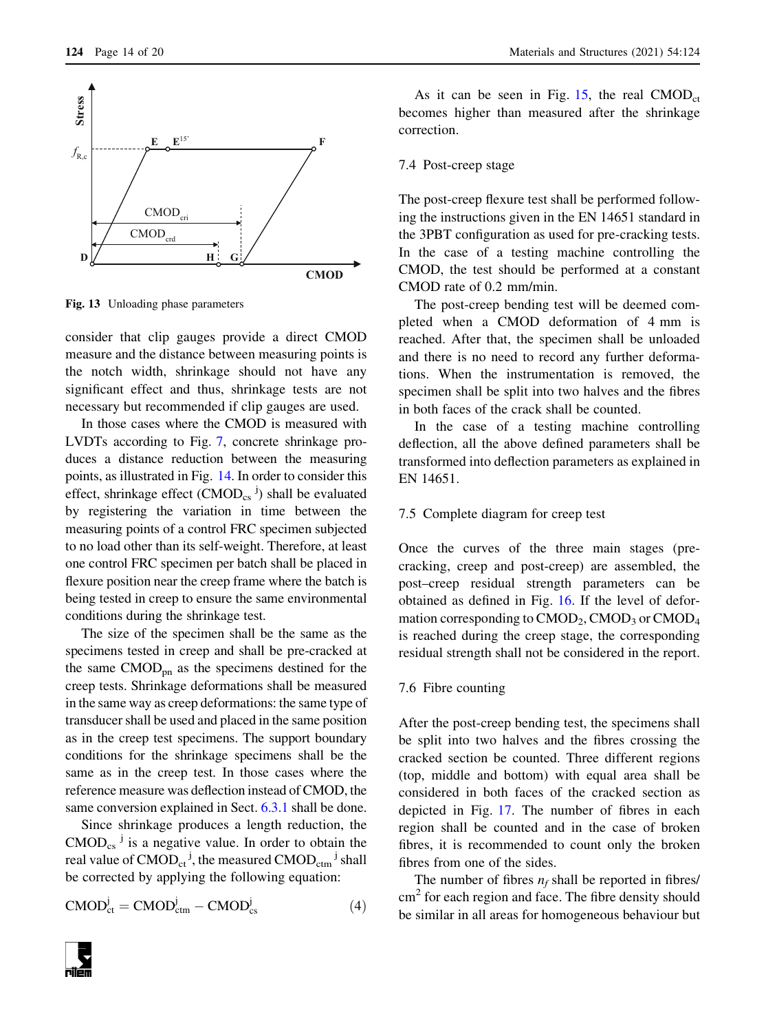<span id="page-13-0"></span>

Fig. 13 Unloading phase parameters

consider that clip gauges provide a direct CMOD measure and the distance between measuring points is the notch width, shrinkage should not have any significant effect and thus, shrinkage tests are not necessary but recommended if clip gauges are used.

In those cases where the CMOD is measured with LVDTs according to Fig. [7](#page-8-0), concrete shrinkage produces a distance reduction between the measuring points, as illustrated in Fig. [14](#page-14-0). In order to consider this effect, shrinkage effect  $(CMOD_{cs}^{\{j\}})$  shall be evaluated by registering the variation in time between the measuring points of a control FRC specimen subjected to no load other than its self-weight. Therefore, at least one control FRC specimen per batch shall be placed in flexure position near the creep frame where the batch is being tested in creep to ensure the same environmental conditions during the shrinkage test.

The size of the specimen shall be the same as the specimens tested in creep and shall be pre-cracked at the same  $\text{CMOD}_{\text{on}}$  as the specimens destined for the creep tests. Shrinkage deformations shall be measured in the same way as creep deformations: the same type of transducer shall be used and placed in the same position as in the creep test specimens. The support boundary conditions for the shrinkage specimens shall be the same as in the creep test. In those cases where the reference measure was deflection instead of CMOD, the same conversion explained in Sect. [6.3.1](#page-7-0) shall be done.

Since shrinkage produces a length reduction, the  $\text{CMOD}_{\text{cs}}$ <sup> $\text{J}$ </sup> is a negative value. In order to obtain the real value of  $\mathsf{CMOD}_\mathsf{ct}^{-\mathsf{j}},$  the measured  $\mathsf{CMOD}_\mathsf{ctm}^{-\mathsf{j}}$  shall be corrected by applying the following equation:

$$
CMOD_{ct}^{j} = CMOD_{ctm}^{j} - CMOD_{cs}^{j}
$$
 (4)

As it can be seen in Fig. [15](#page-14-0), the real  $CMOD<sub>ct</sub>$ becomes higher than measured after the shrinkage correction.

#### 7.4 Post-creep stage

The post-creep flexure test shall be performed following the instructions given in the EN 14651 standard in the 3PBT configuration as used for pre-cracking tests. In the case of a testing machine controlling the CMOD, the test should be performed at a constant CMOD rate of 0.2 mm/min.

The post-creep bending test will be deemed completed when a CMOD deformation of 4 mm is reached. After that, the specimen shall be unloaded and there is no need to record any further deformations. When the instrumentation is removed, the specimen shall be split into two halves and the fibres in both faces of the crack shall be counted.

In the case of a testing machine controlling deflection, all the above defined parameters shall be transformed into deflection parameters as explained in EN 14651.

## 7.5 Complete diagram for creep test

Once the curves of the three main stages (precracking, creep and post-creep) are assembled, the post–creep residual strength parameters can be obtained as defined in Fig. [16](#page-15-0). If the level of deformation corresponding to  $\text{CMOD}_2$ ,  $\text{CMOD}_3$  or  $\text{CMOD}_4$ is reached during the creep stage, the corresponding residual strength shall not be considered in the report.

#### 7.6 Fibre counting

After the post-creep bending test, the specimens shall be split into two halves and the fibres crossing the cracked section be counted. Three different regions (top, middle and bottom) with equal area shall be considered in both faces of the cracked section as depicted in Fig. [17.](#page-15-0) The number of fibres in each region shall be counted and in the case of broken fibres, it is recommended to count only the broken fibres from one of the sides.

The number of fibres  $n_f$  shall be reported in fibres/ cm<sup>2</sup> for each region and face. The fibre density should be similar in all areas for homogeneous behaviour but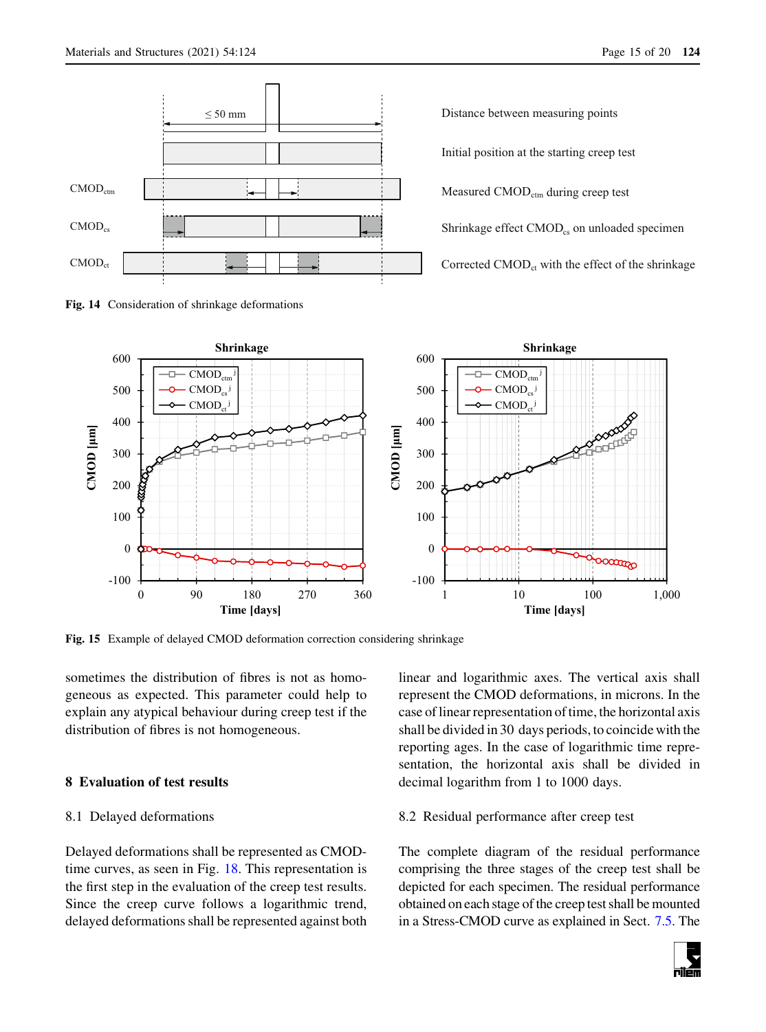

<span id="page-14-0"></span>

Fig. 14 Consideration of shrinkage deformations

Distance between measuring points

Initial position at the starting creep test

Measured CMOD<sub>ctm</sub> during creep test

Shrinkage effect  $\text{CMOD}_{\text{cs}}$  on unloaded specimen

Corrected  $\text{CMOD}_{\text{ct}}$  with the effect of the shrinkage



Fig. 15 Example of delayed CMOD deformation correction considering shrinkage

sometimes the distribution of fibres is not as homogeneous as expected. This parameter could help to explain any atypical behaviour during creep test if the distribution of fibres is not homogeneous.

## 8 Evaluation of test results

## 8.1 Delayed deformations

Delayed deformations shall be represented as CMODtime curves, as seen in Fig. [18](#page-16-0). This representation is the first step in the evaluation of the creep test results. Since the creep curve follows a logarithmic trend, delayed deformations shall be represented against both linear and logarithmic axes. The vertical axis shall represent the CMOD deformations, in microns. In the case of linear representation of time, the horizontal axis shall be divided in 30 days periods, to coincide with the reporting ages. In the case of logarithmic time representation, the horizontal axis shall be divided in decimal logarithm from 1 to 1000 days.

### 8.2 Residual performance after creep test

The complete diagram of the residual performance comprising the three stages of the creep test shall be depicted for each specimen. The residual performance obtained on each stage of the creep test shall be mounted in a Stress-CMOD curve as explained in Sect. [7.5](#page-13-0). The

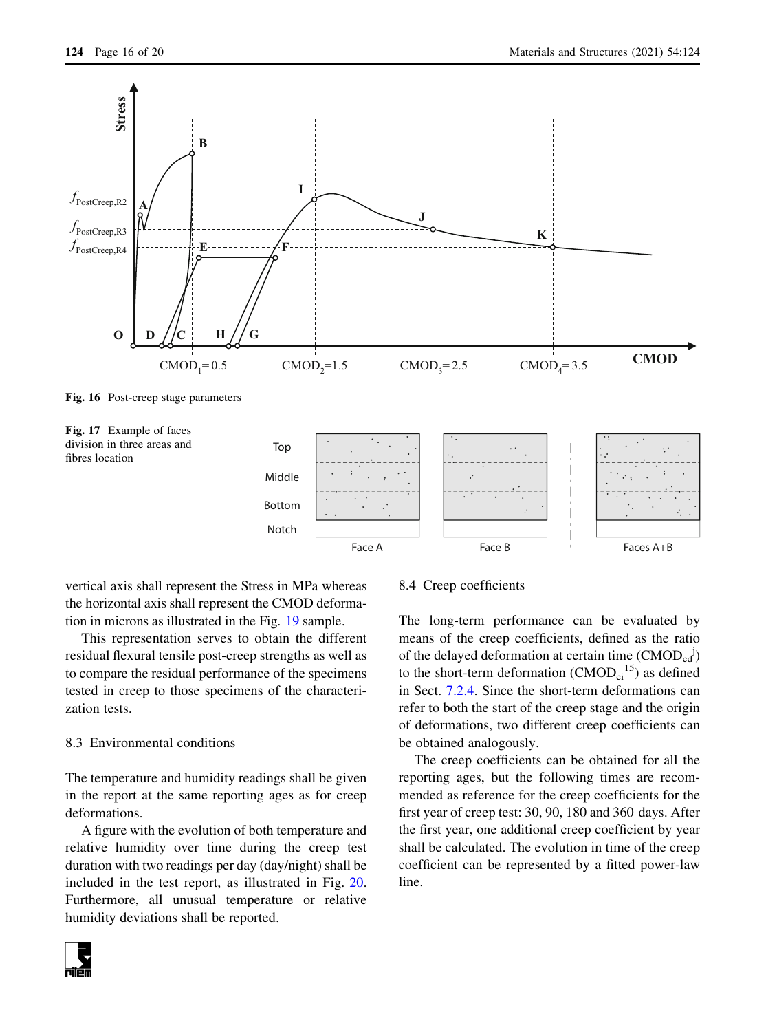<span id="page-15-0"></span>

Face A

vertical axis shall represent the Stress in MPa whereas the horizontal axis shall represent the CMOD deformation in microns as illustrated in the Fig. [19](#page-16-0) sample.

This representation serves to obtain the different residual flexural tensile post-creep strengths as well as to compare the residual performance of the specimens tested in creep to those specimens of the characterization tests.

## 8.3 Environmental conditions

The temperature and humidity readings shall be given in the report at the same reporting ages as for creep deformations.

A figure with the evolution of both temperature and relative humidity over time during the creep test duration with two readings per day (day/night) shall be included in the test report, as illustrated in Fig. [20.](#page-16-0) Furthermore, all unusual temperature or relative humidity deviations shall be reported.

#### 8.4 Creep coefficients

The long-term performance can be evaluated by means of the creep coefficients, defined as the ratio of the delayed deformation at certain time  $(CMOD_{cd}^{\dagger})$ to the short-term deformation  $(CMOD_{ci}^{15})$  as defined in Sect. [7.2.4.](#page-11-0) Since the short-term deformations can refer to both the start of the creep stage and the origin of deformations, two different creep coefficients can be obtained analogously.

Face B Faces A+B

The creep coefficients can be obtained for all the reporting ages, but the following times are recommended as reference for the creep coefficients for the first year of creep test: 30, 90, 180 and 360 days. After the first year, one additional creep coefficient by year shall be calculated. The evolution in time of the creep coefficient can be represented by a fitted power-law line.

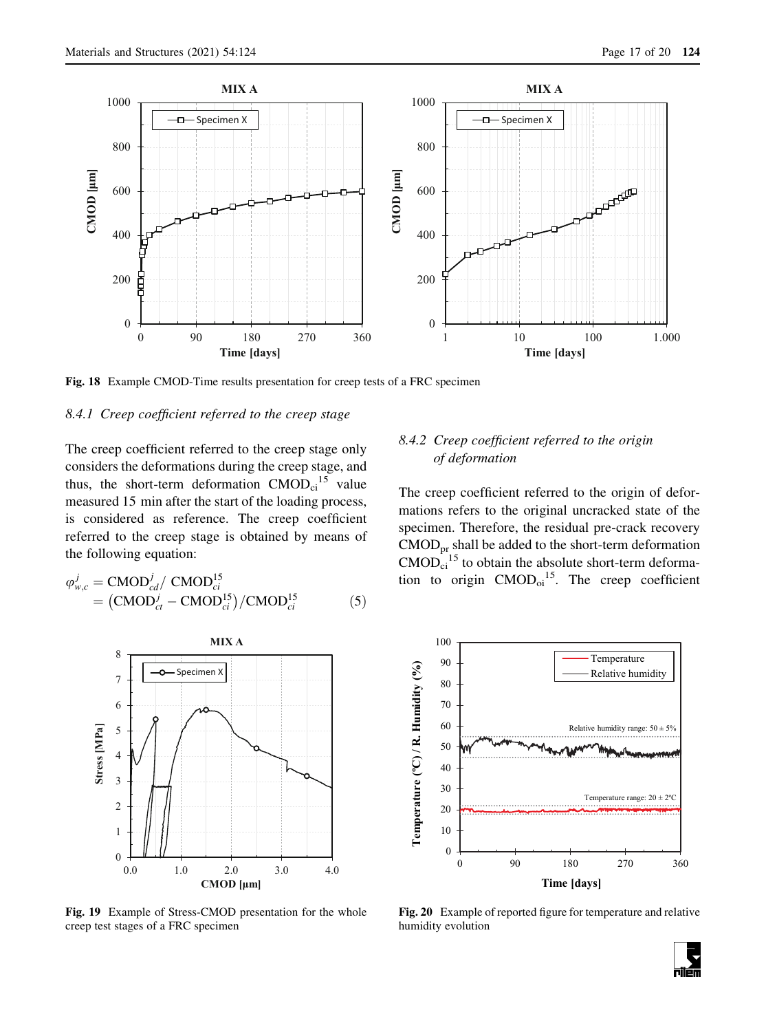<span id="page-16-0"></span>

Fig. 18 Example CMOD-Time results presentation for creep tests of a FRC specimen

## 8.4.1 Creep coefficient referred to the creep stage

The creep coefficient referred to the creep stage only considers the deformations during the creep stage, and thus, the short-term deformation  $CMOD_{ci}^{15}$  value measured 15 min after the start of the loading process, is considered as reference. The creep coefficient referred to the creep stage is obtained by means of the following equation:

$$
\varphi_{w,c}^{j} = \text{CMOD}_{cd}^{j} / \text{ CMOD}_{ci}^{15}
$$
  
= 
$$
(\text{CMOD}_{ct}^{j} - \text{CMOD}_{ci}^{15}) / \text{CMOD}_{ci}^{15}
$$
 (5)



Fig. 19 Example of Stress-CMOD presentation for the whole creep test stages of a FRC specimen

# 8.4.2 Creep coefficient referred to the origin of deformation

The creep coefficient referred to the origin of deformations refers to the original uncracked state of the specimen. Therefore, the residual pre-crack recovery  $\text{CMOD}_{\text{pr}}$  shall be added to the short-term deformation  $\text{CMOD}_{\text{ci}}^{\text{15}}$  to obtain the absolute short-term deformation to origin  $CMOD<sub>oi</sub><sup>15</sup>$ . The creep coefficient



Fig. 20 Example of reported figure for temperature and relative humidity evolution

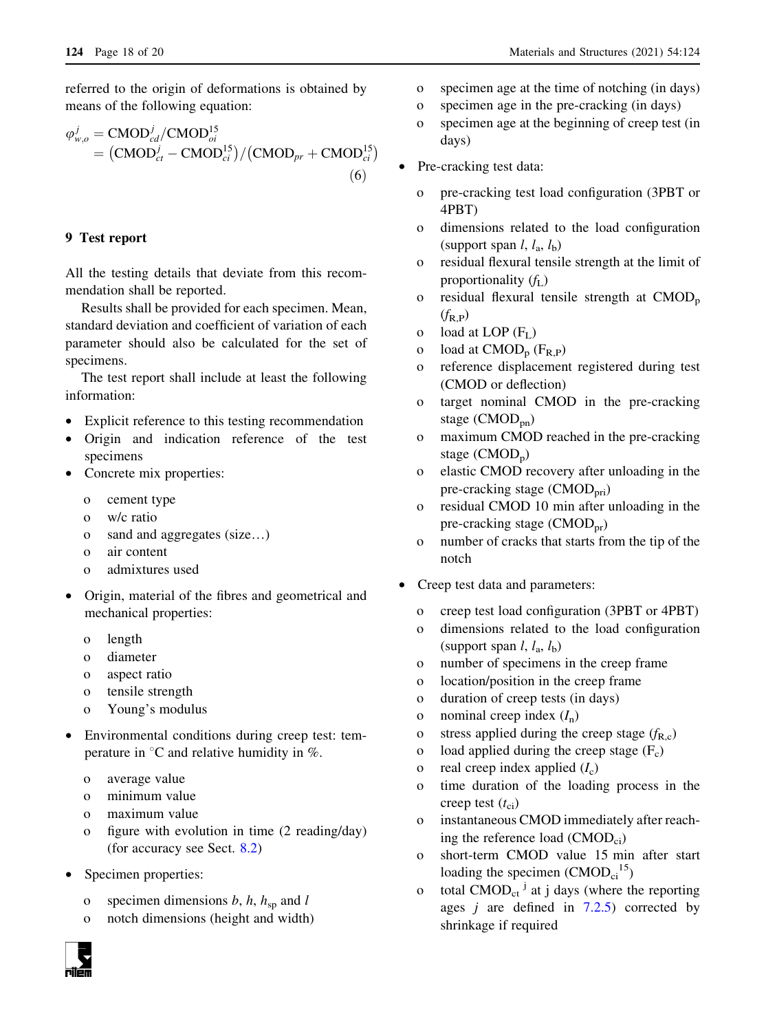referred to the origin of deformations is obtained by means of the following equation:

$$
\varphi_{w,o}^j = \text{CMOD}_{cd}^j / \text{CMOD}_{oi}^{15}
$$
  
= 
$$
(\text{CMOD}_{ct}^j - \text{CMOD}_{ci}^{15}) / (\text{CMOD}_{pr} + \text{CMOD}_{ci}^{15})
$$
  
(6)

## 9 Test report

All the testing details that deviate from this recommendation shall be reported.

Results shall be provided for each specimen. Mean, standard deviation and coefficient of variation of each parameter should also be calculated for the set of specimens.

The test report shall include at least the following information:

- Explicit reference to this testing recommendation
- Origin and indication reference of the test specimens
- Concrete mix properties:
	- o cement type
	- o w/c ratio
	- o sand and aggregates (size…)
	- o air content
	- o admixtures used
- Origin, material of the fibres and geometrical and mechanical properties:
	- o length
	- o diameter
	- o aspect ratio
	- o tensile strength
	- o Young's modulus
- Environmental conditions during creep test: temperature in  $\mathrm{C}$  and relative humidity in %.
	- o average value
	- o minimum value
	- o maximum value
	- o figure with evolution in time (2 reading/day) (for accuracy see Sect. [8.2\)](#page-14-0)
- Specimen properties:
	- o specimen dimensions  $b, h, h_{\rm sp}$  and l
	- o notch dimensions (height and width)
- o specimen age at the time of notching (in days)
- o specimen age in the pre-cracking (in days)
- o specimen age at the beginning of creep test (in days)
- Pre-cracking test data:
	- o pre-cracking test load configuration (3PBT or 4PBT)
	- o dimensions related to the load configuration (support span  $l, l_a, l_b$ )
	- o residual flexural tensile strength at the limit of proportionality  $(f_L)$
	- o residual flexural tensile strength at  $\text{CMOD}_{p}$  $(f_{R,P})$
	- o load at LOP  $(F<sub>L</sub>)$
	- o load at  $\text{CMOD}_{\text{p}}$  ( $F_{\text{R,P}}$ )
	- o reference displacement registered during test (CMOD or deflection)
	- o target nominal CMOD in the pre-cracking stage (CMOD<sub>pn</sub>)
	- o maximum CMOD reached in the pre-cracking stage  $(CMOD_n)$
	- o elastic CMOD recovery after unloading in the pre-cracking stage  $(CMOD_{\text{pri}})$
	- o residual CMOD 10 min after unloading in the pre-cracking stage (CMOD<sub>pr</sub>)
	- o number of cracks that starts from the tip of the notch
- Creep test data and parameters:
	- o creep test load configuration (3PBT or 4PBT)
	- o dimensions related to the load configuration (support span  $l, l_a, l_b$ )
	- o number of specimens in the creep frame
	- o location/position in the creep frame
	- o duration of creep tests (in days)
	- o nominal creep index  $(I_n)$
	- o stress applied during the creep stage  $(f_{R,c})$
	- o load applied during the creep stage  $(F_c)$
	- o real creep index applied  $(I_c)$
	- o time duration of the loading process in the creep test  $(t_{ci})$
	- instantaneous CMOD immediately after reaching the reference load  $(CMOD_{ci})$
	- o short-term CMOD value 15 min after start loading the specimen  $(CMOD_{ci}^{15})$
	- o total  $\text{CMOD}_{\text{ct}}$ <sup>j</sup> at j days (where the reporting ages  $j$  are defined in [7.2.5\)](#page-12-0) corrected by shrinkage if required

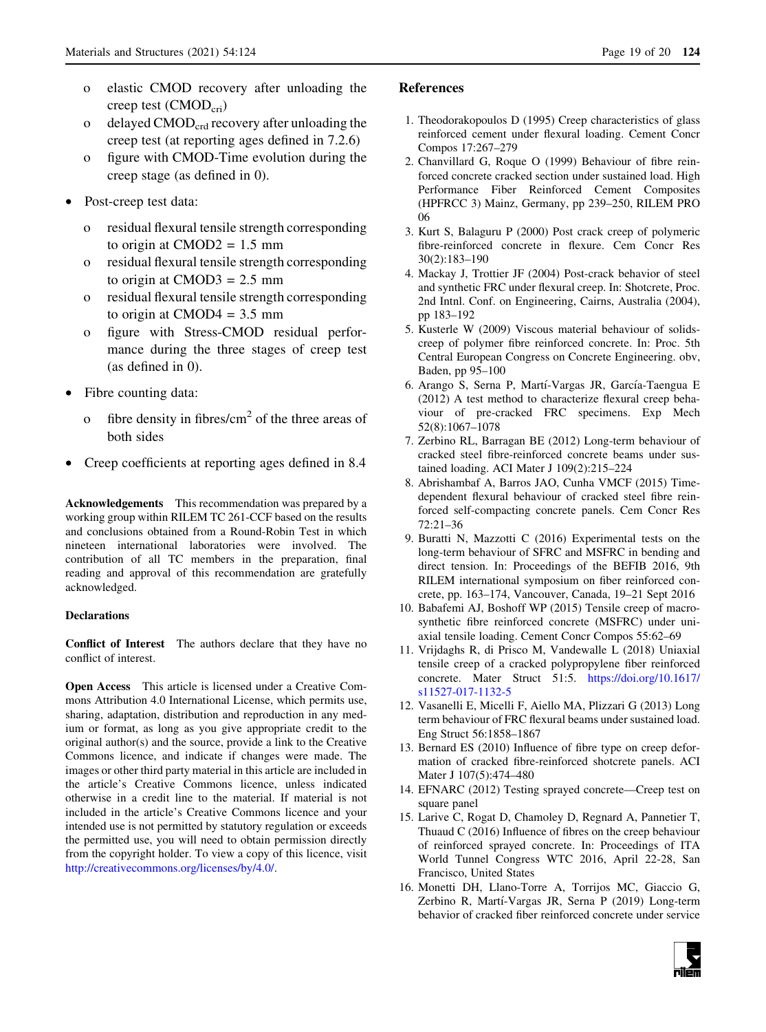- <span id="page-18-0"></span>o elastic CMOD recovery after unloading the creep test  $(CMOD_{cri})$
- o delayed  $\text{CMOD}_{\text{crd}}$  recovery after unloading the creep test (at reporting ages defined in 7.2.6)
- o figure with CMOD-Time evolution during the creep stage (as defined in 0).
- Post-creep test data:
	- o residual flexural tensile strength corresponding to origin at  $CMOD2 = 1.5$  mm
	- o residual flexural tensile strength corresponding to origin at  $CMOD3 = 2.5$  mm
	- o residual flexural tensile strength corresponding to origin at  $CMOD4 = 3.5$  mm
	- o figure with Stress-CMOD residual performance during the three stages of creep test (as defined in 0).
- Fibre counting data:
	- o fibre density in fibres/ $\text{cm}^2$  of the three areas of both sides
- Creep coefficients at reporting ages defined in 8.4

Acknowledgements This recommendation was prepared by a working group within RILEM TC 261-CCF based on the results and conclusions obtained from a Round-Robin Test in which nineteen international laboratories were involved. The contribution of all TC members in the preparation, final reading and approval of this recommendation are gratefully acknowledged.

### **Declarations**

Conflict of Interest The authors declare that they have no conflict of interest.

Open Access This article is licensed under a Creative Commons Attribution 4.0 International License, which permits use, sharing, adaptation, distribution and reproduction in any medium or format, as long as you give appropriate credit to the original author(s) and the source, provide a link to the Creative Commons licence, and indicate if changes were made. The images or other third party material in this article are included in the article's Creative Commons licence, unless indicated otherwise in a credit line to the material. If material is not included in the article's Creative Commons licence and your intended use is not permitted by statutory regulation or exceeds the permitted use, you will need to obtain permission directly from the copyright holder. To view a copy of this licence, visit <http://creativecommons.org/licenses/by/4.0/>.

# References

- 1. Theodorakopoulos D (1995) Creep characteristics of glass reinforced cement under flexural loading. Cement Concr Compos 17:267–279
- 2. Chanvillard G, Roque O (1999) Behaviour of fibre reinforced concrete cracked section under sustained load. High Performance Fiber Reinforced Cement Composites (HPFRCC 3) Mainz, Germany, pp 239–250, RILEM PRO 06
- 3. Kurt S, Balaguru P (2000) Post crack creep of polymeric fibre-reinforced concrete in flexure. Cem Concr Res 30(2):183–190
- 4. Mackay J, Trottier JF (2004) Post-crack behavior of steel and synthetic FRC under flexural creep. In: Shotcrete, Proc. 2nd Intnl. Conf. on Engineering, Cairns, Australia (2004), pp 183–192
- 5. Kusterle W (2009) Viscous material behaviour of solidscreep of polymer fibre reinforced concrete. In: Proc. 5th Central European Congress on Concrete Engineering. obv, Baden, pp 95–100
- 6. Arango S, Serna P, Martí-Vargas JR, García-Taengua E (2012) A test method to characterize flexural creep behaviour of pre-cracked FRC specimens. Exp Mech 52(8):1067–1078
- 7. Zerbino RL, Barragan BE (2012) Long-term behaviour of cracked steel fibre-reinforced concrete beams under sustained loading. ACI Mater J 109(2):215–224
- 8. Abrishambaf A, Barros JAO, Cunha VMCF (2015) Timedependent flexural behaviour of cracked steel fibre reinforced self-compacting concrete panels. Cem Concr Res  $72.21 - 36$
- 9. Buratti N, Mazzotti C (2016) Experimental tests on the long-term behaviour of SFRC and MSFRC in bending and direct tension. In: Proceedings of the BEFIB 2016, 9th RILEM international symposium on fiber reinforced concrete, pp. 163–174, Vancouver, Canada, 19–21 Sept 2016
- 10. Babafemi AJ, Boshoff WP (2015) Tensile creep of macrosynthetic fibre reinforced concrete (MSFRC) under uniaxial tensile loading. Cement Concr Compos 55:62–69
- 11. Vrijdaghs R, di Prisco M, Vandewalle L (2018) Uniaxial tensile creep of a cracked polypropylene fiber reinforced concrete. Mater Struct 51:5. [https://doi.org/10.1617/](https://doi.org/10.1617/s11527-017-1132-5) [s11527-017-1132-5](https://doi.org/10.1617/s11527-017-1132-5)
- 12. Vasanelli E, Micelli F, Aiello MA, Plizzari G (2013) Long term behaviour of FRC flexural beams under sustained load. Eng Struct 56:1858–1867
- 13. Bernard ES (2010) Influence of fibre type on creep deformation of cracked fibre-reinforced shotcrete panels. ACI Mater J 107(5):474–480
- 14. EFNARC (2012) Testing sprayed concrete—Creep test on square panel
- 15. Larive C, Rogat D, Chamoley D, Regnard A, Pannetier T, Thuaud C (2016) Influence of fibres on the creep behaviour of reinforced sprayed concrete. In: Proceedings of ITA World Tunnel Congress WTC 2016, April 22-28, San Francisco, United States
- 16. Monetti DH, Llano-Torre A, Torrijos MC, Giaccio G, Zerbino R, Martı´-Vargas JR, Serna P (2019) Long-term behavior of cracked fiber reinforced concrete under service